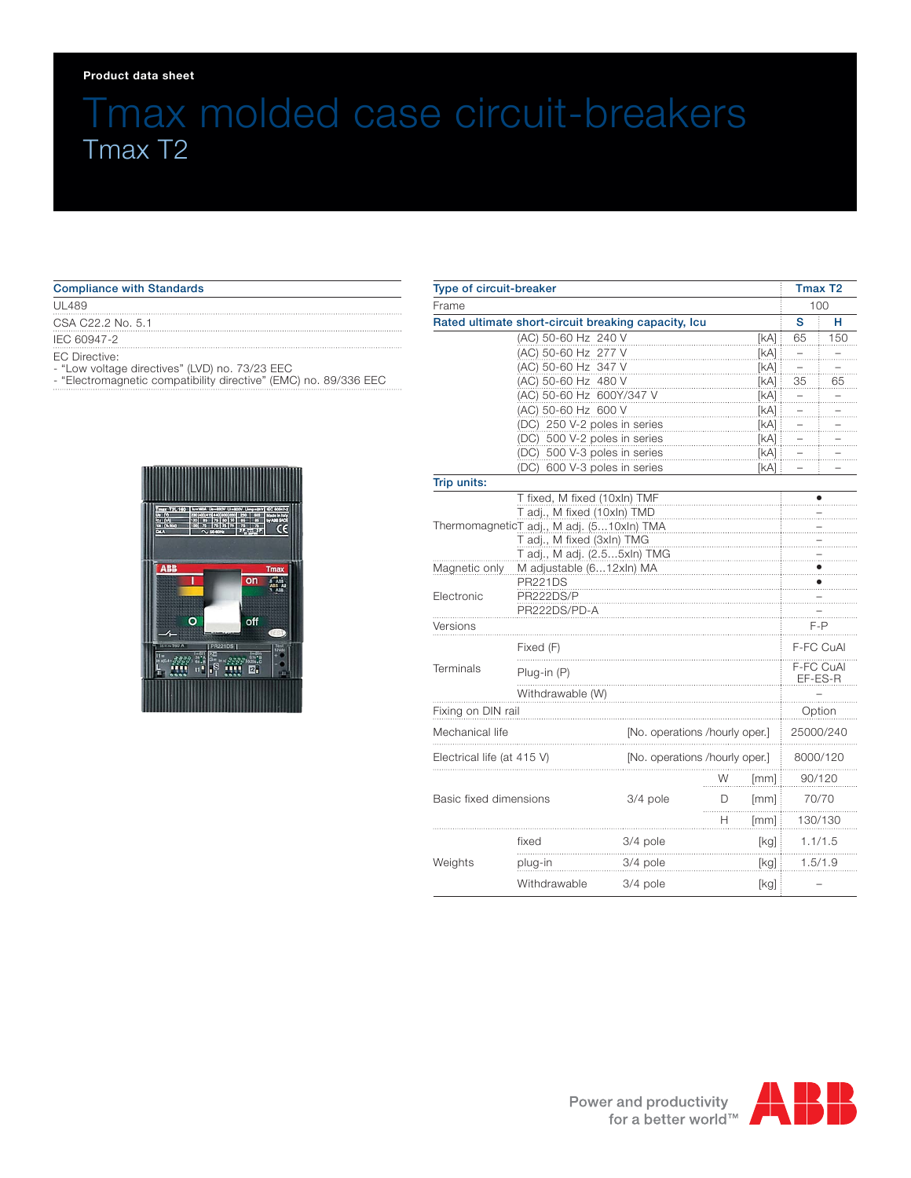#### **Product data sheet**

# Tmax molded case circuit-breakers Tmax T2

### Compliance with Standards UL489 CSA C22.2 No. 5.1 IEC 60947-2 EC Directive:

- "Low voltage directives" (LVD) no. 73/23 EEC

- "Electromagnetic compatibility directive" (EMC) no. 89/336 EEC



| Type of circuit-breaker                                                 |                                                                      |          |                                |                      | Tmax T <sub>2</sub> |          |  |
|-------------------------------------------------------------------------|----------------------------------------------------------------------|----------|--------------------------------|----------------------|---------------------|----------|--|
| Frame                                                                   |                                                                      |          |                                |                      | 100                 |          |  |
| Rated ultimate short-circuit breaking capacity, Icu                     |                                                                      |          |                                |                      | s                   | н        |  |
|                                                                         | (AC) 50-60 Hz 240 V                                                  |          |                                | [KA]                 | 65                  | 150      |  |
| (AC) 50-60 Hz 277 V                                                     |                                                                      |          |                                | [kA]                 |                     |          |  |
|                                                                         | (AC) 50-60 Hz 347 V                                                  |          |                                | [kA]                 |                     |          |  |
| (AC) 50-60 Hz 480 V                                                     |                                                                      |          |                                | [KA]                 | 35                  | 65       |  |
|                                                                         | (AC) 50-60 Hz 600Y/347 V<br>[kA]                                     |          |                                |                      | $\pm$               |          |  |
|                                                                         | (AC) 50-60 Hz 600 V<br>[kA]                                          |          |                                |                      |                     |          |  |
| (DC) 250 V-2 poles in series<br>[kA]                                    |                                                                      |          |                                |                      |                     |          |  |
|                                                                         | (DC) 500 V-2 poles in series<br>[kA]                                 |          |                                |                      |                     |          |  |
|                                                                         | (DC) 500 V-3 poles in series<br>[kA]<br>(DC) 600 V-3 poles in series |          |                                |                      |                     |          |  |
|                                                                         |                                                                      |          |                                | [kA]                 |                     |          |  |
| Trip units:                                                             |                                                                      |          |                                |                      |                     |          |  |
|                                                                         | T fixed, M fixed (10xln) TMF                                         |          |                                |                      |                     |          |  |
| T adj., M fixed (10xln) TMD                                             |                                                                      |          |                                |                      |                     |          |  |
| ThermomagneticT adj., M adj. (510xln) TMA<br>T adj., M fixed (3xln) TMG |                                                                      |          |                                |                      |                     |          |  |
|                                                                         |                                                                      |          |                                |                      |                     |          |  |
| Magnetic only                                                           | T adj., M adj. (2.55xln) TMG<br>M adjustable (612xln) MA             |          |                                |                      |                     |          |  |
|                                                                         | <b>PR221DS</b>                                                       |          |                                |                      |                     |          |  |
| Electronic                                                              | PR222DS/P                                                            |          |                                |                      |                     |          |  |
|                                                                         | PR222DS/PD-A                                                         |          |                                |                      |                     |          |  |
| Versions                                                                |                                                                      |          |                                |                      | $F - P$             |          |  |
|                                                                         | Fixed (F)                                                            |          |                                | F-FC CuAl            |                     |          |  |
| Terminals                                                               | Plug-in (P)                                                          |          |                                | F-FC CuAl<br>EF-ES-R |                     |          |  |
|                                                                         | Withdrawable (W)                                                     |          |                                |                      |                     |          |  |
| Fixing on DIN rail                                                      |                                                                      |          |                                |                      | Option              |          |  |
| Mechanical life                                                         |                                                                      |          | [No. operations /hourly oper.] |                      | 25000/240           |          |  |
| Electrical life (at 415 V)                                              |                                                                      |          | [No. operations /hourly oper.] |                      |                     | 8000/120 |  |
|                                                                         |                                                                      |          | W                              | [mm]                 |                     | 90/120   |  |
| Basic fixed dimensions                                                  |                                                                      | 3/4 pole | D                              | [mm]                 |                     | 70/70    |  |
|                                                                         |                                                                      |          | н                              | [mm]                 |                     | 130/130  |  |
| Weights                                                                 | fixed                                                                | 3/4 pole |                                | [kg] :               |                     | 1.1/1.5  |  |
|                                                                         | plug-in                                                              | 3/4 pole |                                | [kg]                 | 1.5/1.9             |          |  |
|                                                                         | Withdrawable                                                         | 3/4 pole |                                | [kq]                 |                     |          |  |

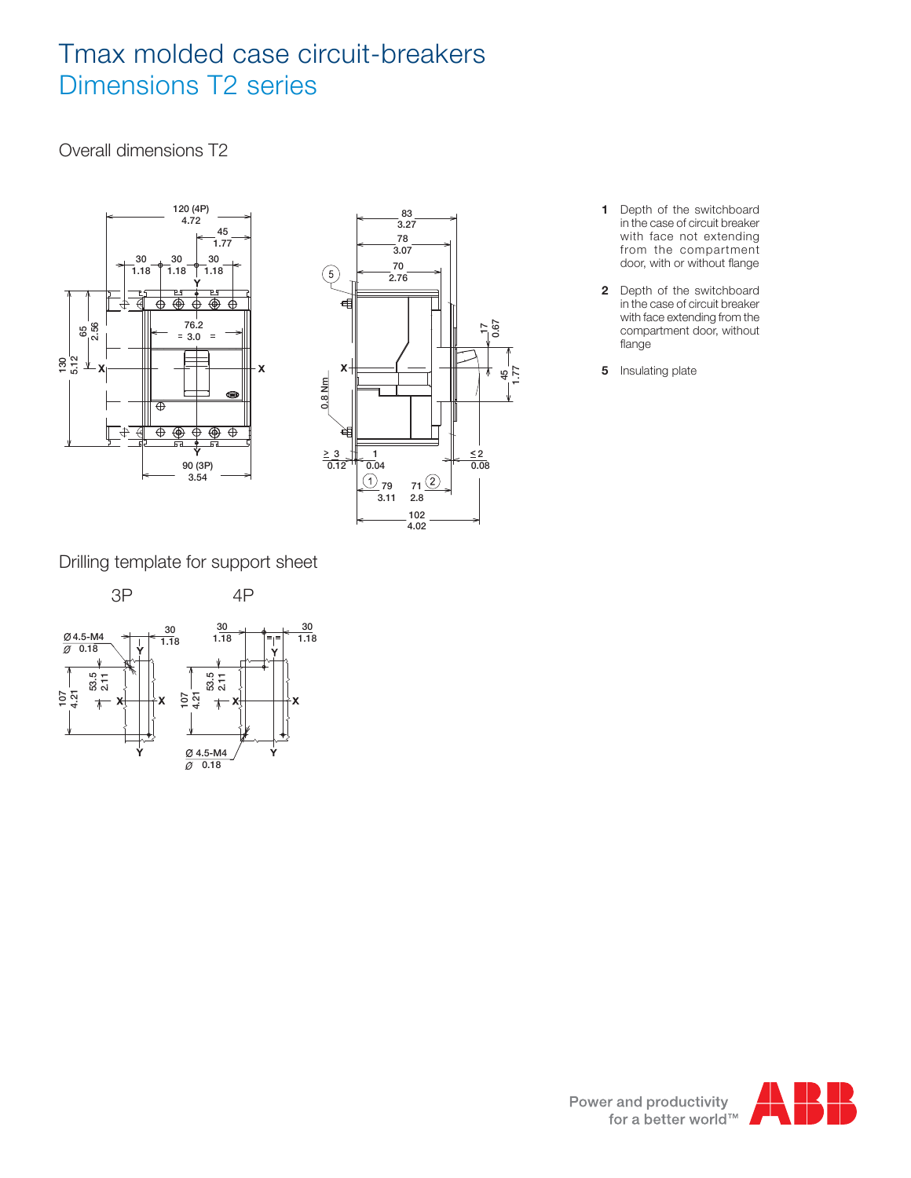## Tmax molded case circuit-breakers Dimensions T2 series

Overall dimensions T2





- **1** Depth of the switchboard in the case of circuit breaker with face not extending from the compartment door, with or without flange
- **2** Depth of the switchboard in the case of circuit breaker with face extending from the compartment door, without flange

Drilling template for support sheet





**5** Insulating plate